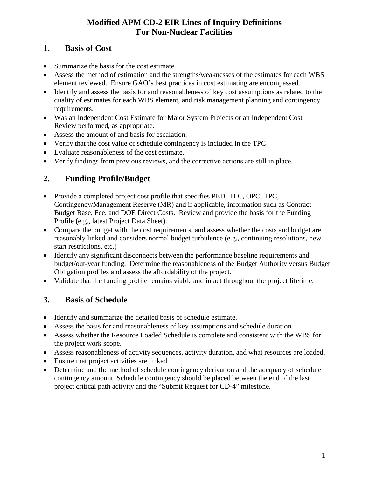#### **1. Basis of Cost**

- Summarize the basis for the cost estimate.
- Assess the method of estimation and the strengths/weaknesses of the estimates for each WBS element reviewed. Ensure GAO's best practices in cost estimating are encompassed.
- Identify and assess the basis for and reasonableness of key cost assumptions as related to the quality of estimates for each WBS element, and risk management planning and contingency requirements.
- Was an Independent Cost Estimate for Major System Projects or an Independent Cost Review performed, as appropriate.
- Assess the amount of and basis for escalation.
- Verify that the cost value of schedule contingency is included in the TPC
- Evaluate reasonableness of the cost estimate.
- Verify findings from previous reviews, and the corrective actions are still in place.

### **2. Funding Profile/Budget**

- Provide a completed project cost profile that specifies PED, TEC, OPC, TPC, Contingency/Management Reserve (MR) and if applicable, information such as Contract Budget Base, Fee, and DOE Direct Costs. Review and provide the basis for the Funding Profile (e.g., latest Project Data Sheet).
- Compare the budget with the cost requirements, and assess whether the costs and budget are reasonably linked and considers normal budget turbulence (e.g., continuing resolutions, new start restrictions, etc.)
- Identify any significant disconnects between the performance baseline requirements and budget/out-year funding. Determine the reasonableness of the Budget Authority versus Budget Obligation profiles and assess the affordability of the project.
- Validate that the funding profile remains viable and intact throughout the project lifetime.

#### **3. Basis of Schedule**

- Identify and summarize the detailed basis of schedule estimate.
- Assess the basis for and reasonableness of key assumptions and schedule duration.
- Assess whether the Resource Loaded Schedule is complete and consistent with the WBS for the project work scope.
- Assess reasonableness of activity sequences, activity duration, and what resources are loaded.
- Ensure that project activities are linked.
- Determine and the method of schedule contingency derivation and the adequacy of schedule contingency amount. Schedule contingency should be placed between the end of the last project critical path activity and the "Submit Request for CD-4" milestone.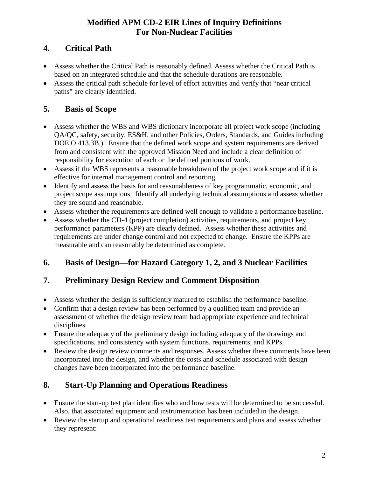## **4. Critical Path**

- Assess whether the Critical Path is reasonably defined. Assess whether the Critical Path is based on an integrated schedule and that the schedule durations are reasonable.
- Assess the critical path schedule for level of effort activities and verify that "near critical paths" are clearly identified.

# **5. Basis of Scope**

- Assess whether the WBS and WBS dictionary incorporate all project work scope (including QA/QC, safety, security, ES&H, and other Policies, Orders, Standards, and Guides including DOE O 413.3B.). Ensure that the defined work scope and system requirements are derived from and consistent with the approved Mission Need and include a clear definition of responsibility for execution of each or the defined portions of work.
- Assess if the WBS represents a reasonable breakdown of the project work scope and if it is effective for internal management control and reporting.
- Identify and assess the basis for and reasonableness of key programmatic, economic, and project scope assumptions. Identify all underlying technical assumptions and assess whether they are sound and reasonable.
- Assess whether the requirements are defined well enough to validate a performance baseline.
- Assess whether the CD-4 (project completion) activities, requirements, and project key performance parameters (KPP) are clearly defined. Assess whether these activities and requirements are under change control and not expected to change. Ensure the KPPs are measurable and can reasonably be determined as complete.

# **6. Basis of Design—for Hazard Category 1, 2, and 3 Nuclear Facilities**

### **7. Preliminary Design Review and Comment Disposition**

- Assess whether the design is sufficiently matured to establish the performance baseline.
- Confirm that a design review has been performed by a qualified team and provide an assessment of whether the design review team had appropriate experience and technical disciplines
- Ensure the adequacy of the preliminary design including adequacy of the drawings and specifications, and consistency with system functions, requirements, and KPPs.
- Review the design review comments and responses. Assess whether these comments have been incorporated into the design, and whether the costs and schedule associated with design changes have been incorporated into the performance baseline.

# **8. Start-Up Planning and Operations Readiness**

- Ensure the start-up test plan identifies who and how tests will be determined to be successful. Also, that associated equipment and instrumentation has been included in the design.
- Review the startup and operational readiness test requirements and plans and assess whether they represent: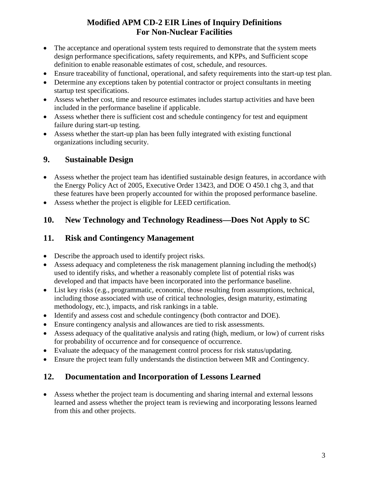- The acceptance and operational system tests required to demonstrate that the system meets design performance specifications, safety requirements, and KPPs, and Sufficient scope definition to enable reasonable estimates of cost, schedule, and resources.
- Ensure traceability of functional, operational, and safety requirements into the start-up test plan.
- Determine any exceptions taken by potential contractor or project consultants in meeting startup test specifications.
- Assess whether cost, time and resource estimates includes startup activities and have been included in the performance baseline if applicable.
- Assess whether there is sufficient cost and schedule contingency for test and equipment failure during start-up testing.
- Assess whether the start-up plan has been fully integrated with existing functional organizations including security.

#### **9. Sustainable Design**

- Assess whether the project team has identified sustainable design features, in accordance with the Energy Policy Act of 2005, Executive Order 13423, and DOE O 450.1 chg 3, and that these features have been properly accounted for within the proposed performance baseline.
- Assess whether the project is eligible for LEED certification.

### **10. New Technology and Technology Readiness—Does Not Apply to SC**

#### **11. Risk and Contingency Management**

- Describe the approach used to identify project risks.
- Assess adequacy and completeness the risk management planning including the method(s) used to identify risks, and whether a reasonably complete list of potential risks was developed and that impacts have been incorporated into the performance baseline.
- List key risks (e.g., programmatic, economic, those resulting from assumptions, technical, including those associated with use of critical technologies, design maturity, estimating methodology, etc.), impacts, and risk rankings in a table.
- Identify and assess cost and schedule contingency (both contractor and DOE).
- Ensure contingency analysis and allowances are tied to risk assessments.
- Assess adequacy of the qualitative analysis and rating (high, medium, or low) of current risks for probability of occurrence and for consequence of occurrence.
- Evaluate the adequacy of the management control process for risk status/updating.
- Ensure the project team fully understands the distinction between MR and Contingency.

### **12. Documentation and Incorporation of Lessons Learned**

• Assess whether the project team is documenting and sharing internal and external lessons learned and assess whether the project team is reviewing and incorporating lessons learned from this and other projects.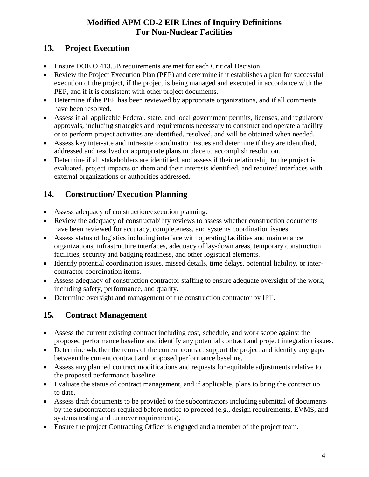### **13. Project Execution**

- Ensure DOE O 413.3B requirements are met for each Critical Decision.
- Review the Project Execution Plan (PEP) and determine if it establishes a plan for successful execution of the project, if the project is being managed and executed in accordance with the PEP, and if it is consistent with other project documents.
- Determine if the PEP has been reviewed by appropriate organizations, and if all comments have been resolved.
- Assess if all applicable Federal, state, and local government permits, licenses, and regulatory approvals, including strategies and requirements necessary to construct and operate a facility or to perform project activities are identified, resolved, and will be obtained when needed.
- Assess key inter-site and intra-site coordination issues and determine if they are identified, addressed and resolved or appropriate plans in place to accomplish resolution.
- Determine if all stakeholders are identified, and assess if their relationship to the project is evaluated, project impacts on them and their interests identified, and required interfaces with external organizations or authorities addressed.

## **14. Construction/ Execution Planning**

- Assess adequacy of construction/execution planning.
- Review the adequacy of constructability reviews to assess whether construction documents have been reviewed for accuracy, completeness, and systems coordination issues.
- Assess status of logistics including interface with operating facilities and maintenance organizations, infrastructure interfaces, adequacy of lay-down areas, temporary construction facilities, security and badging readiness, and other logistical elements.
- Identify potential coordination issues, missed details, time delays, potential liability, or intercontractor coordination items.
- Assess adequacy of construction contractor staffing to ensure adequate oversight of the work, including safety, performance, and quality.
- Determine oversight and management of the construction contractor by IPT.

### **15. Contract Management**

- Assess the current existing contract including cost, schedule, and work scope against the proposed performance baseline and identify any potential contract and project integration issues.
- Determine whether the terms of the current contract support the project and identify any gaps between the current contract and proposed performance baseline.
- Assess any planned contract modifications and requests for equitable adjustments relative to the proposed performance baseline.
- Evaluate the status of contract management, and if applicable, plans to bring the contract up to date.
- Assess draft documents to be provided to the subcontractors including submittal of documents by the subcontractors required before notice to proceed (e.g., design requirements, EVMS, and systems testing and turnover requirements).
- Ensure the project Contracting Officer is engaged and a member of the project team.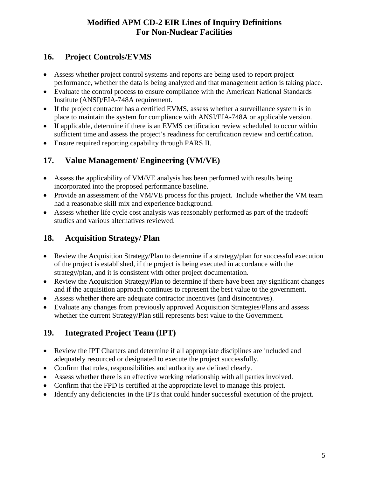### **16. Project Controls/EVMS**

- Assess whether project control systems and reports are being used to report project performance, whether the data is being analyzed and that management action is taking place.
- Evaluate the control process to ensure compliance with the American National Standards Institute (ANSI)/EIA-748A requirement.
- If the project contractor has a certified EVMS, assess whether a surveillance system is in place to maintain the system for compliance with ANSI/EIA-748A or applicable version.
- If applicable, determine if there is an EVMS certification review scheduled to occur within sufficient time and assess the project's readiness for certification review and certification.
- Ensure required reporting capability through PARS II.

## **17. Value Management/ Engineering (VM/VE)**

- Assess the applicability of VM/VE analysis has been performed with results being incorporated into the proposed performance baseline.
- Provide an assessment of the VM/VE process for this project. Include whether the VM team had a reasonable skill mix and experience background.
- Assess whether life cycle cost analysis was reasonably performed as part of the tradeoff studies and various alternatives reviewed.

## **18. Acquisition Strategy/ Plan**

- Review the Acquisition Strategy/Plan to determine if a strategy/plan for successful execution of the project is established, if the project is being executed in accordance with the strategy/plan, and it is consistent with other project documentation.
- Review the Acquisition Strategy/Plan to determine if there have been any significant changes and if the acquisition approach continues to represent the best value to the government.
- Assess whether there are adequate contractor incentives (and disincentives).
- Evaluate any changes from previously approved Acquisition Strategies/Plans and assess whether the current Strategy/Plan still represents best value to the Government.

# **19. Integrated Project Team (IPT)**

- Review the IPT Charters and determine if all appropriate disciplines are included and adequately resourced or designated to execute the project successfully.
- Confirm that roles, responsibilities and authority are defined clearly.
- Assess whether there is an effective working relationship with all parties involved.
- Confirm that the FPD is certified at the appropriate level to manage this project.
- Identify any deficiencies in the IPTs that could hinder successful execution of the project.